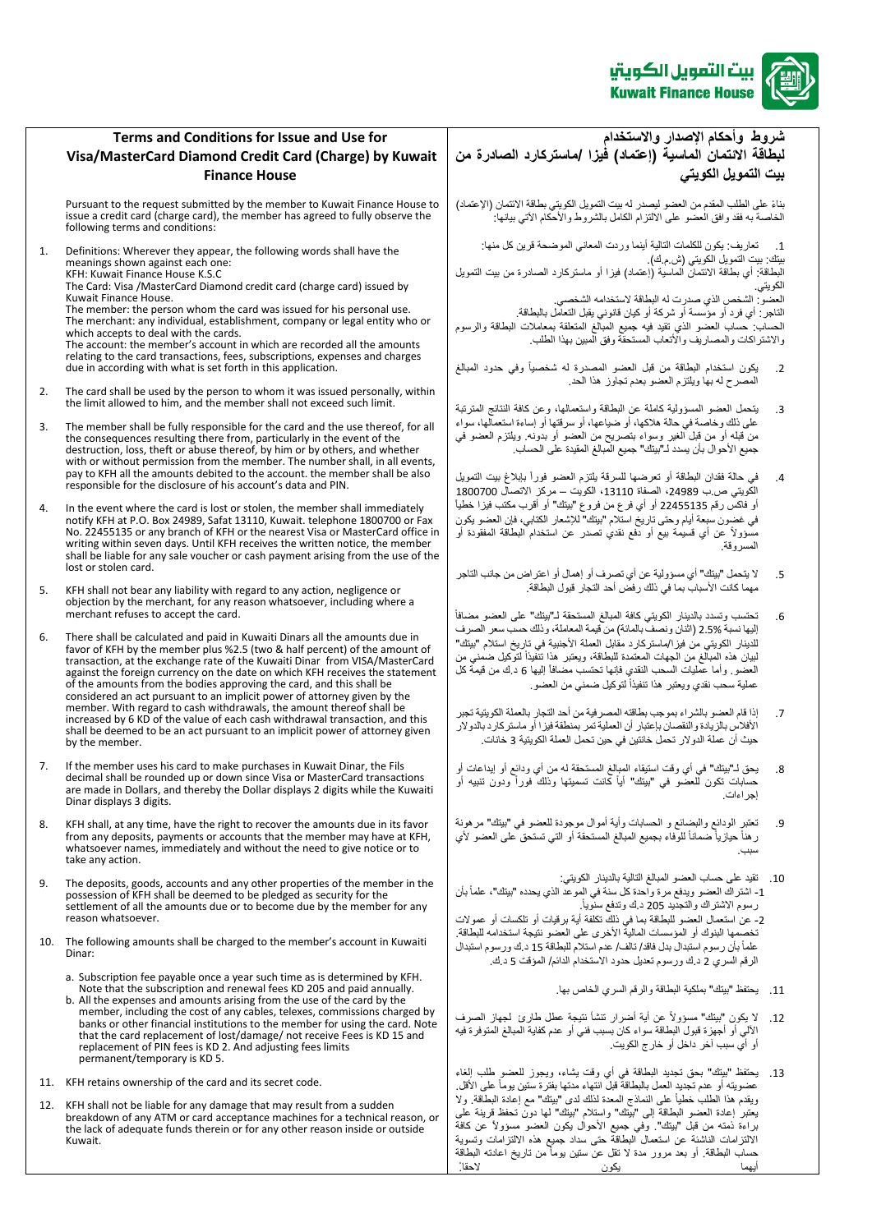

## **Terms and Conditions for Issue and Use for Visa/MasterCard Diamond Credit Card (Charge) by Kuwait Finance House**

Pursuant to the request submitted by the member to Kuwait Finance House to issue a credit card (charge card), the member has agreed to fully observe the following terms and conditions:

1. Definitions: Wherever they appear, the following words shall have the meanings shown against each one:

KFH: Kuwait Finance House K.S.C The Card: Visa /MasterCard Diamond credit card (charge card) issued by Kuwait Finance House.

The member: the person whom the card was issued for his personal use. The members and person means the care means to person the merchant: any individual, establishment, company or legal entity who or which accepts to deal with the cards. The account: the member's account in which are recorded all the amounts relating to the card transactions, fees, subscriptions, expenses and charges due in according with what is set forth in this application.

- 2. The card shall be used by the person to whom it was issued personally, within the limit allowed to him, and the member shall not exceed such limit.
- 3. The member shall be fully responsible for the card and the use thereof, for all the consequences resulting there from, particularly in the event of the destruction, loss, theft or abuse thereof, by him or by others, and whether with or without permission from the member. The number shall, in all events, pay to KFH all the amounts debited to the account. the member shall be also responsible for the disclosure of his account's data and PIN.
- 4. In the event where the card is lost or stolen, the member shall immediately notify KFH at P.O. Box 24989, Safat 13110, Kuwait. telephone 1800700 or Fax No. 22455135 or any branch of KFH or the nearest Visa or MasterCard office in writing within seven days. Until KFH receives the written notice, the member shall be liable for any sale voucher or cash payment arising from the use of the lost or stolen card.
- 5. KFH shall not bear any liability with regard to any action, negligence or objection by the merchant, for any reason whatsoever, including where a merchant refuses to accept the card.
- 6. There shall be calculated and paid in Kuwaiti Dinars all the amounts due in favor of KFH by the member plus %2.5 (two & half percent) of the amount of transaction, at the exchange rate of the Kuwaiti Dinar from VISA/MasterCard against the foreign currency on the date on which KFH receives the statement of the amounts from the bodies approving the card, and this shall be considered an act pursuant to an implicit power of attorney given by the member. With regard to cash withdrawals, the amount thereof shall be increased by 6 KD of the value of each cash withdrawal transaction, and this shall be deemed to be an act pursuant to an implicit power of attorney given by the member.
- 7. If the member uses his card to make purchases in Kuwait Dinar, the Fils decimal shall be rounded up or down since Visa or MasterCard transactions are made in Dollars, and thereby the Dollar displays 2 digits while the Kuwaiti Dinar displays 3 digits.
- 8. KFH shall, at any time, have the right to recover the amounts due in its favor from any deposits, payments or accounts that the member may have at KFH, whatsoever names, immediately and without the need to give notice or to take any action.
- 9. The deposits, goods, accounts and any other properties of the member in the possession of KFH shall be deemed to be pledged as security for the settlement of all the amounts due or to become due by the member for any reason whatsoever.
- 10. The following amounts shall be charged to the member's account in Kuwaiti Dinar:
	- a. Subscription fee payable once a year such time as is determined by KFH. Note that the subscription and renewal fees KD 205 and paid annually.
	- b. All the expenses and amounts arising from the use of the card by the member, including the cost of any cables, telexes, commissions charged by banks or other financial institutions to the member for using the card. Note that the card replacement of lost/damage/ not receive Fees is KD 15 and replacement of PIN fees is KD 2. And adjusting fees limits permanent/temporary is KD 5.
- 11. KFH retains ownership of the card and its secret code.
- 12. KFH shall not be liable for any damage that may result from a sudden breakdown of any ATM or card acceptance machines for a technical reason, or the lack of adequate funds therein or for any other reason inside or outside Kuwait.

**شروط وأحكام اإلصدار واالستخدام لبطاقة االئتمان الماسية )إعتماد( فيزا /ماستركارد الصادرة من بيت التمويل الكويتي** 

بناءً على الطلب المقدم من العضو ليصدر له بيت التمويل الكويتي بطاقة الائتمان (الإعتماد) الخاصةً به فقدً وافق العضو على الالتزام الكامل بالشروط والأحكام الآتي بيانهاً: '

1. تعاريف: يكون للكلمات التالية أينما وردت المعاني الموضحة قرين كل منها: بيتك بيتٍ التمويلُ الكويتي (ش م ك). ..<br>البطاقةُ: أي بطاقةً الانتمان الماسية (إعتماد) فيزاً أو ماستركارد الصادرة من بيت التمويل الكويتي. ...<br>العضو : الشخص الذي صدرت له البطاقة لاستخدامه الشخص التاجرً: أي فرد أو مؤسسةً أو شركةً أو كيان قانوني يقبل التعامل بالبطاقة.<br>التاجر : أي فرد أو مؤسسةً أو شركةً أو كيان قانوني يقبل التعامل بالبطاقة.

الحساب كساب العضو الذي تقيد فيه جميع المبالغ المتعلقة بمعاملات البطاقة والرسوم والاشتراكات والمصاريف والأتعاب المستحقّة وفق المبين بهذا الطلب

- .2 يكون استخدام البطاقة من قبل العضو المصدرة له شخصيا وفي حدود المبالغ المصرح له بهاً ويلتزم العضو بعدم تجاوز هذا الحد.
- 3. يتحمل العضو المسؤولية كاملةً عن البطاقةً واستعمالها، وعن كافة النتائج المترتبة على ذلك وخاصةً في حالةً هلاكها، أو ضياعهاً، أو سرقتها أو إساءة استعمالها، سواءً من قبله أو من قبل الغير وسواءً بتصريحٍ من العضو أو بدونه. ويلتزم العضو في جميع الأحوال بأن يسدد لـ"بيتك" جميع المبالغ المقيدة على الحساب.
- 4. في حالة فقدان البطاقة أو تعرضها للسرقة يلتزم العضو فوراً بإبلاغ بيت التمويل الكويتي ص.ب 24989، الصفاة 13110، الكويت – مركز الاتصال 1800700 أو فَاكسٌ رقّم 22455135 أو أي فرع من فروعٌ "بيتك" أو أقرب مكتب فيزا خطياً .<br>في غضون سبعةً أيام وحتى تاريخ استلام "بيتك" للإشعار الكتابي، فإن العضو يكون مسؤوال عن أي قسيمة بيع أو دفع نقدي تصدر عن استخدام البطاقة المفقودة أو المسروقةً.ً
- 5. الله يتحمل "بيتك" أي مسؤوليةً عن أي تصرف أو إهمال أو اعتراضٍ من جانب التاجر مهماً كانت الأسباب بما في ذلك رفضٌ أحد التجارُ قبول البطاقة.
- 6. تحتسب وتسدد بالدينار الكويتي كافة المبالغ المستحقة لـ"بيتك" على العضو مضافاً إليها نسبةً 2.5% (اثنان ونصفّ بالمائة) من قيمة المعاملة، وذلك حسب سعر الصرف للدينار الكويتي من فيزا/ماستركارد مقابل العملة الأجنبية في تاريخ استلام "بيتك" لبيان هذه المبالغ من الجهات المعتمدة للبطاقة، ويعتبر هذا تنَّفيذاً لتوكيل ضمني من العضو ِ وأما عُمليات السحب النقدي فإنها تحتسب مضافاً إليها 6 د ك من قيمةً كل عملية سحب نقدي ويعتبر هذا تنفيذاً لتوكيل ضمني من العضو
- 7. إذا قام العضو بالشراء بموجب بطاقته المصرفيةً من أحد التجار بالعملة الكويتية تجبر الأفلاس بالزيادة والنقصان بإعتبار أن العمليةً تمر بمنطقة فيزا أو ماستركاردًبالدولار حيث أنّ عملَة الدولار. تحملُ خانتين في حين تحمل العملة الكويتية 3 خانات.
- 8 . يحقً لــ"بيتك" في أي وقت استيقاء المبالغ المستحقةً له من أي ودائع أو إيداعات أو حساباتً تكونً للعضوً فيًً"بيتك"ًًأيا كانت تسميتها وذلك فورا ودون تنبيه أو إجراءاتً.
- 9. تعتبرِ الودائع والبضائع و الحسابات وأية أموال موجودة للعضو في "بيتك" مرهونةً رهناً حيازياً ضماناً للوفاء بجميع المبالغ المستحقة أو التي تستحق على العضو لأي سببً.
- 10. تقيدً على حساب العضو المبالغ التالية بالدينار الكويتي: 1- اشتراك العضو ويدفع مرة واحدة كل سنة في الموعد الذي يحدده "بيتك"، علماً بأن رسومًاالشتراكًوالتجديد205ً د.ك وتدفع سنويا . 2- عن استعمال العضو للبطاقة بما في ذلك تكلفةً أيةً برقيات أو تلكسات أو عمولات نخصمها البنوك أو المؤسسات المالية الأخرى على العضو نتيجةً استخدامه للبطاقة. علماً بأن رسوم استبدال بدل فاقد/ تالف/ عدم استلام للبطاقة 15 د ك ورسوم استبدال الرقم السري 2 د.ك ورسوم تعديلً حدود الاستخدام الدائمً/ المؤقت 5 د.ك.
	- 11 . بحتفظ "بيتك" بملكية البطاقة والرقم السري الخاص بها.
- 12. لا يكون "بيتك" مسؤولاً عن أية أضرار تنشأ نتيجةً عطل طارئ لجهاز الصرف .<br>الآلي أو أجهزةً قبول البطاقةً سواءً كان بسبب فني أو عدم كفاية المبالغ المتوفرة فيه .<br>أو أي سبب آخر داخل أو خارج الكويت.
- 13. يحتفظ "بيتك" بحق تجديد البطاقة في أي وقت يشاء، ويجوز للعضو طلب إلغاء عضويته أو عدم تجديد العمل بالبطاقةً قبلً انتهاء مدتها بفترة ستين يوماً على الأقل. ويقدم هذا الطلب خطياً على النماذج المعدة لذلك لدى "بيتك" مع إعادة البطاقة. ولا يت<br>يعتبر إعادة العضو البطاقة إلى "بيتك" واستلام "بيتك" لها دون تحفظ قرينةً علىً براءةً ذمته من قبل "بيتك". وفي جميع الأحوال يكون العضو مسؤولاً عن كافة الالتزامات الناشئةً عن استعمال البطاقة حتى سداد جميع هذه الالتزامات وتسويةً حساب البطاقة. أو بعد مرور مدة لا تقل عن ستين يوماً من تاريخ اعادته البطاقة<br>أسها ً يك<u>ون</u>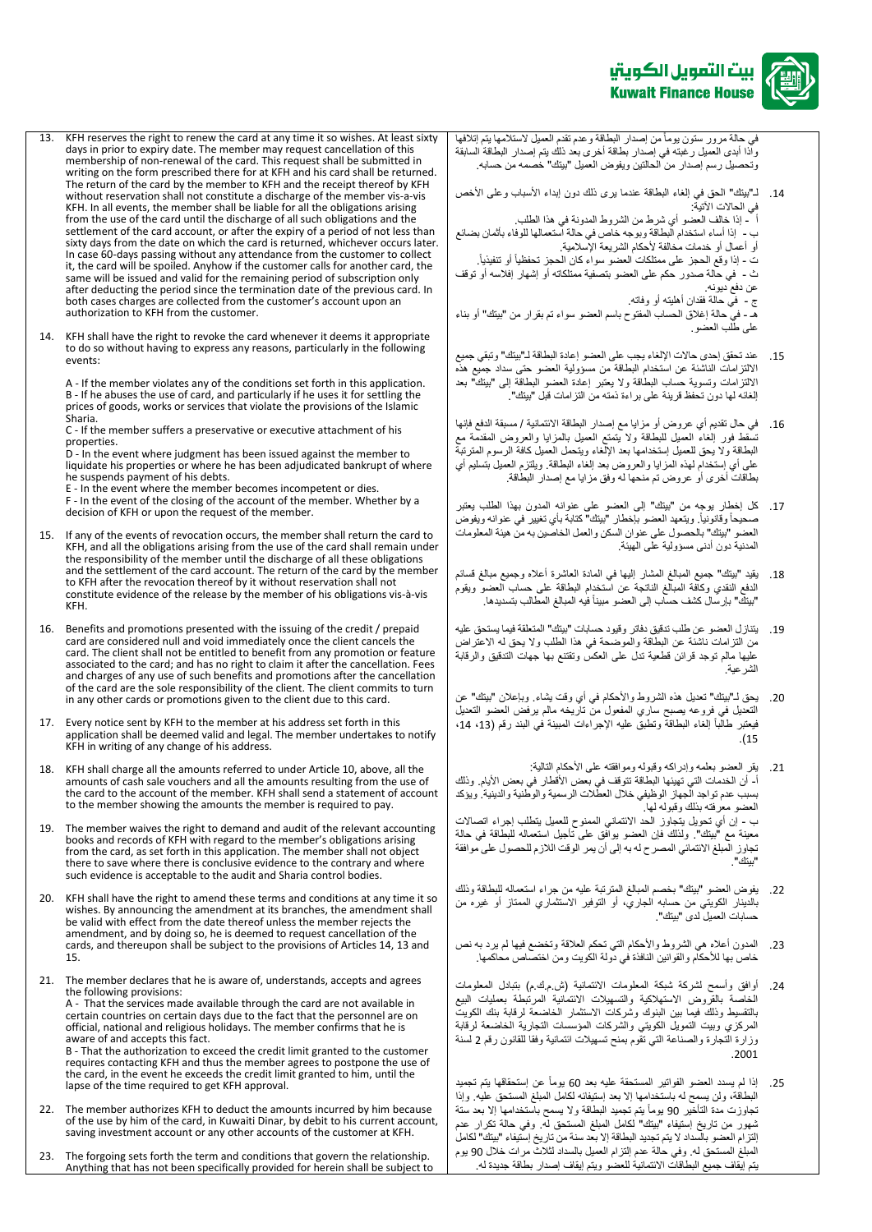

في حالة مرور ستون يومأ من إصدار البطاقة وعدم تقدم العميل لاستلامها يتم إتلافها واذاً أبدى العميل رغبته في إصدار بطاقة أخرى بعد ذلك يتم إصدار البطاقة السابقة وتحصيل رسم إصدار من الحالتين ويفوض العميل "بيتك" خصمه من حسابه.

14. لـ"بيتك" الحقّ في إلغاء البطاقة عندماً يرى ذلك دون إبداء الأسباب وعلى الأخص في الحالات الآتية:

أ - إذا خالف العضو أي شرط من الشروط المدونة في هذا الطلب

ب - ً إذا أساء استخدام البطاقة وبوجه خاص في حالة استعمالها للوفاء بأثمان بضائع .<br>أو أعمال أو خدمات مخالفةً لأحكام الشريعة الإسلامية.

ت - إذا وقع الحجز على ممتلكات العضو سواء كان الحجز تحفظياً أو تنفيذياً.

ث - في حالةً صدور حكم على العضو بتصفيةً ممتلكاته أو إشهار إفلاسه أو توقف عن دفع ديونه.

ج - في حالةً فقدان أهليته أو وفاته.

هـً-ًفيًحالةًإغالقًالحسابًالمفتوحًباسمًالعضوًسواءًتمًبقرارًمنً"بيتك"ًأوًبناءً على طلّب العضو

- 15. عند تحقق إحدى حالات الإلغاء يجب على العضو إعادة البطاقة لـ"بيتك" وتبقي جميع الالتزامات الناشئةً عن استخدام البطاقةً من مسؤولية العضو حتى سداد جميع هذه الالتزامات وتسويةً حساب البطاقة ولا يعتبر إعادة العضو البطاقة إلى "بيتك" بعد .<br>الغائه لها دون تحفظً قرينةً على بر اءة ذمته من التزامات قبل "بيتك"<sup>.</sup>
- 16. في حال تقديم أي عروض أو مزاياً مع إصدار البطاقة الائتمانية / مسبقة الدفع فإنها تسقط فور إلغاء العميل للبطاقةً ولا يتمتع العميل بالمزايا والعروض المقدمةً مع البطاقةً ولا يحق للعميل إستخدامها بعد الإلغاء ويتحمل العميل كافة الرسوم المترتبةً على أي إستخدام لهذه المزايا والعروض بعد إلغاء البطاقة. ويلتزم العميل بتسليم أي بطاقاتً أخرى أو عروضٌ تم منحهاً له وفقٍ مزاياً مع إصدار البطاقة.
- 17. كل إخطار يوجه من "بيتك" إلى العضو على عنوانه المدون بهذا الطلب يعتبرً صحيحاً وقانونياً. ويتعهد العضو بإخطار "بيتك" كتابةً بأي تغيير في عنوانه ويفوض العضو "بيتك" بالحصول على عنوان السكن والعمل الخاصين به من هيئة المعلومات المدنيةً دون أدنى مسؤوليةً على الهيئة.
- 18. يقيد "بيتك" جميع المبالغ المشار إليها في المادة العاشرة أعلاه وجميع مبالغ قسائم الدفع النقدي وكافةً المبالغ الناتجةً عن استخدام البطاقةً على حساب العضوّ ويقومُ "بيتك" بإرسال كشف حساب إلى العضو مبيناً فيه المبالغ المطالب بتسديدها.
- 19. يتنازل العضو عن طلب تدقيق دفاتر وقيود حسابات "بيتك" المتعلقة فيما يستحق عليه من التزامات ناشئةً عن البطاقة والموضحةً في هذا الطلب ولا يحق له الاعتراض عليها مالم توجدً قرائن قطعيةً تدل على العكس وتقتنع بها جهات التدقيق والرقابة الشرعيةً.ً
- 20 . يحقً لـ"بيتك" تعديلً هذه الشروط والأحكام في أي وقت يشاءً. وبإعلان "بيتك" عن التعديل في فروعه يصبح ساري المفعول من تاريخه مالم يرفض العضو التعديل نيعتبر طالّباً إلغاء البطاقةً وتطبقٌ عليه الإجراءات المبينة في البند رقم (13، 14، ً.)15

21 . يقرُّ العضو بعلمه وإدراكه وقبوله وموافقته على الأحكام التالية: ا- أن الخدمات التي تهيئها البطاقة تتوقف في بعض الأقطار في بعض الأيام. وذلك بسبب عدم تواجد الجهاز الوظيفي خلال العطلات الرسميةً والوطنية والدينية ويؤكد . . . .<br>العضو معرفته بذلك وقبوله لها . ب - إن أي تحويلً يتجاوز الحد الائتماني الممنوح للعميل يتطلب إجراء اتصالات معينةً مع "بيتك". ولذلك فإن العضو بوافقٍ على تأجيل استعماله للبطاقة في حالةً تجاوز المبلغ الائتمائي المصرح له به إلى أن يمر الوقت اللازم للحصول على موافقةً "بيتك".

- 22. يفوض العضو "بيتك" بخصم المبالغ المترتبةً عليه من جراء استعماله للبطاقةً وذلك بالدينار الكويتي من حسابه الجاري، أو التوفير الاستثماري الممتاز أو غيرهً من حسابات العميل لدى "بيتك".
- 23 . المدون أعلاه هي الشروط والأحكام التي تحكم العلاقةً وتخضع فيها لم يرد به نص حت<br>خاص بها للأحكام والقوانين النافذة في دولة الكويت ومن اختصاص محاكمها.
- 24. أوافقٍ وأسمح لشركةً شبكةً المعلومات الائتمانيةً (ش.م.ك.م) بتبادل المعلومات الخاصةً بالقروضً االستهالكيةً والتسهيالتً االئتمانيةً المرتبطةً بعملياتً البيعً بالتقسيط وذلكً فيماً بين البنوكَ وشركاتٌ الاستثمار الّخاضعةً لرقابةً بنكَ الكويت المركزي وبيت التمويل الكويتي والشركات المؤسسات التجارية الخاضعة لرقابة وزَارةً التجارةً والصناعة التي تقومً بمنح تسهيلات ائتمانيةً وفقاً للقانون رقم 2 لسنةً ً.2001
- 25 إذاً لم يسدد العضو الفواتير المستحقةً عليه بعد 60 يوماً عن إستحقاقها يتم تجميد البطاقة، ولن يسمح له باستخدامها إلا بعد إستيفائه لكامل المبلغ المستحق عليه. وإذا تجاوزت مدة التأخير 90 يوماً يتم تجميد البطاقة ولا يسمح باستخدامها إلا بعد ستة شهور من تاريخ إستيفاء "بيتك" لكامل المبلغ المستحق له. وفي حالة تكرار عدم إلتزام العضو بالسداد لا يتم تجديد البطاقة إلا بعد سنةً من تاريخ إستيفاء "بيتك" لكاملً المبلغُ المستحقّ له. وفي حالةً عدم التزام العميل بالسداد لثلاثٌ مرات خلال 90 يوم يتم إيقاف جميع البطاقات الائتمانية للعضو ويتم إيقاف إصدار بطاقةً جديدة له.
- 13. KFH reserves the right to renew the card at any time it so wishes. At least sixty days in prior to expiry date. The member may request cancellation of this membership of non-renewal of the card. This request shall be submitted in writing on the form prescribed there for at KFH and his card shall be returned. The return of the card by the member to KFH and the receipt thereof by KFH without reservation shall not constitute a discharge of the member vis-a-vis KFH. In all events, the member shall be liable for all the obligations arising from the use of the card until the discharge of all such obligations and the settlement of the card account, or after the expiry of a period of not less than sixty days from the date on which the card is returned, whichever occurs later. In case 60-days passing without any attendance from the customer to collect it, the card will be spoiled. Anyhow if the customer calls for another card, the same will be issued and valid for the remaining period of subscription only after deducting the period since the termination date of the previous card. In both cases charges are collected from the customer's account upon an authorization to KFH from the customer.
- 14. KFH shall have the right to revoke the card whenever it deems it appropriate to do so without having to express any reasons, particularly in the following events:

A - If the member violates any of the conditions set forth in this application. B - If he abuses the use of card, and particularly if he uses it for settling the prices of goods, works or services that violate the provisions of the Islamic Sharia.

C - If the member suffers a preservative or executive attachment of his properties.

D - In the event where judgment has been issued against the member to liquidate his properties or where he has been adjudicated bankrupt of where he suspends payment of his debts.

E - In the event where the member becomes incompetent or dies.

F - In the event of the closing of the account of the member. Whether by a decision of KFH or upon the request of the member.

- 15. If any of the events of revocation occurs, the member shall return the card to KFH, and all the obligations arising from the use of the card shall remain under the responsibility of the member until the discharge of all these obligations and the settlement of the card account. The return of the card by the member to KFH after the revocation thereof by it without reservation shall not constitute evidence of the release by the member of his obligations vis-à-vis KFH.
- 16. Benefits and promotions presented with the issuing of the credit / prepaid card are considered null and void immediately once the client cancels the card. The client shall not be entitled to benefit from any promotion or feature associated to the card; and has no right to claim it after the cancellation. Fees and charges of any use of such benefits and promotions after the cancellation of the card are the sole responsibility of the client. The client commits to turn in any other cards or promotions given to the client due to this card.

17. Every notice sent by KFH to the member at his address set forth in this application shall be deemed valid and legal. The member undertakes to notify KFH in writing of any change of his address.

- 18. KFH shall charge all the amounts referred to under Article 10, above, all the amounts of cash sale vouchers and all the amounts resulting from the use of the card to the account of the member. KFH shall send a statement of account to the member showing the amounts the member is required to pay.
- 19. The member waives the right to demand and audit of the relevant accounting books and records of KFH with regard to the member's obligations arising from the card, as set forth in this application. The member shall not object there to save where there is conclusive evidence to the contrary and where such evidence is acceptable to the audit and Sharia control bodies.
- 20. KFH shall have the right to amend these terms and conditions at any time it so wishes. By announcing the amendment at its branches, the amendment shall be valid with effect from the date thereof unless the member rejects the amendment, and by doing so, he is deemed to request cancellation of the cards, and thereupon shall be subject to the provisions of Articles 14, 13 and 15.
- 21. The member declares that he is aware of, understands, accepts and agrees the following provisions: A - That the services made available through the card are not available in certain countries on certain days due to the fact that the personnel are on official, national and religious holidays. The member confirms that he is aware of and accepts this fact. B - That the authorization to exceed the credit limit granted to the customer requires contacting KFH and thus the member agrees to postpone the use of the card, in the event he exceeds the credit limit granted to him, until the lapse of the time required to get KFH approval.
- 22. The member authorizes KFH to deduct the amounts incurred by him because of the use by him of the card, in Kuwaiti Dinar, by debit to his current account, saving investment account or any other accounts of the customer at KFH.
- 23. The forgoing sets forth the term and conditions that govern the relationship. Anything that has not been specifically provided for herein shall be subject to